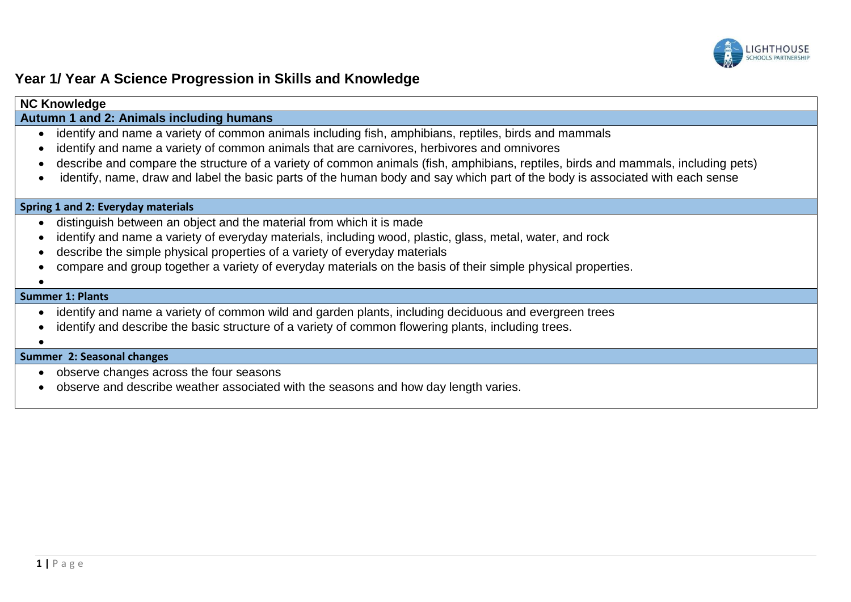

## **Year 1/ Year A Science Progression in Skills and Knowledge**

| <b>NC Knowledge</b>                                                                                                                                                                                                                                                                                                                                                                                                                                                                     |
|-----------------------------------------------------------------------------------------------------------------------------------------------------------------------------------------------------------------------------------------------------------------------------------------------------------------------------------------------------------------------------------------------------------------------------------------------------------------------------------------|
| Autumn 1 and 2: Animals including humans                                                                                                                                                                                                                                                                                                                                                                                                                                                |
| identify and name a variety of common animals including fish, amphibians, reptiles, birds and mammals<br>$\bullet$<br>identify and name a variety of common animals that are carnivores, herbivores and omnivores<br>describe and compare the structure of a variety of common animals (fish, amphibians, reptiles, birds and mammals, including pets)<br>identify, name, draw and label the basic parts of the human body and say which part of the body is associated with each sense |
| Spring 1 and 2: Everyday materials                                                                                                                                                                                                                                                                                                                                                                                                                                                      |
| distinguish between an object and the material from which it is made<br>identify and name a variety of everyday materials, including wood, plastic, glass, metal, water, and rock<br>describe the simple physical properties of a variety of everyday materials<br>compare and group together a variety of everyday materials on the basis of their simple physical properties.                                                                                                         |
| <b>Summer 1: Plants</b>                                                                                                                                                                                                                                                                                                                                                                                                                                                                 |
| identify and name a variety of common wild and garden plants, including deciduous and evergreen trees<br>identify and describe the basic structure of a variety of common flowering plants, including trees.                                                                                                                                                                                                                                                                            |
| Summer 2: Seasonal changes                                                                                                                                                                                                                                                                                                                                                                                                                                                              |
| a pheary changes across the four seasons                                                                                                                                                                                                                                                                                                                                                                                                                                                |

- observe changes across the four seasons
- observe and describe weather associated with the seasons and how day length varies.